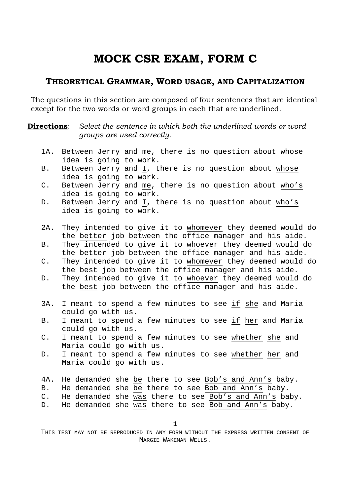# **MOCK CSR EXAM, FORM C**

### **THEORETICAL GRAMMAR, WORD USAGE, AND CAPITALIZATION**

The questions in this section are composed of four sentences that are identical except for the two words or word groups in each that are underlined.

**Directions**: Select the sentence in which both the underlined words or word *groups are used correctly.* 

- 1A. Between Jerry and me, there is no question about whose idea is going to work.
- B. Between Jerry and I, there is no question about whose idea is going to work.
- C. Between Jerry and me, there is no question about who's idea is going to work.
- D. Between Jerry and I, there is no question about who's idea is going to work.
- 2A. They intended to give it to whomever they deemed would do the better job between the office manager and his aide.
- B. They intended to give it to whoever they deemed would do the better job between the office manager and his aide.
- C. They intended to give it to whomever they deemed would do the best job between the office manager and his aide.
- D. They intended to give it to whoever they deemed would do the best job between the office manager and his aide.
- 3A. I meant to spend a few minutes to see if she and Maria could go with us.
- B. I meant to spend a few minutes to see if her and Maria could go with us.
- C. I meant to spend a few minutes to see whether she and Maria could go with us.
- D. I meant to spend a few minutes to see whether her and Maria could go with us.
- 4A. He demanded she be there to see Bob's and Ann's baby.
- B. He demanded she be there to see Bob and Ann's baby.
- C. He demanded she was there to see Bob's and Ann's baby.
- D. He demanded she was there to see Bob and Ann's baby.

1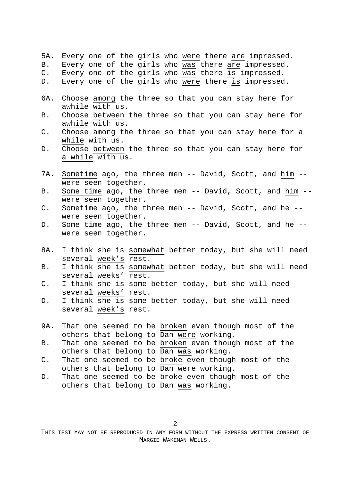|               |                 |  |  | 5A. Every one of the girls who were there are impressed.                                                                                                                                                                        |
|---------------|-----------------|--|--|---------------------------------------------------------------------------------------------------------------------------------------------------------------------------------------------------------------------------------|
| B.            |                 |  |  | Every one of the girls who was there are impressed.                                                                                                                                                                             |
| $C_{\bullet}$ |                 |  |  | Every one of the girls who was there is impressed.                                                                                                                                                                              |
|               |                 |  |  | D. Every one of the girls who were there is impressed.                                                                                                                                                                          |
|               |                 |  |  |                                                                                                                                                                                                                                 |
|               |                 |  |  | 6A. Choose among the three so that you can stay here for                                                                                                                                                                        |
|               | awhile with us. |  |  |                                                                                                                                                                                                                                 |
|               |                 |  |  | B. Choose between the three so that you can stay here for                                                                                                                                                                       |
|               | awhile with us. |  |  |                                                                                                                                                                                                                                 |
|               |                 |  |  | $\sim$ . The contract of the contract of the contract of the contract of the contract of the contract of the contract of the contract of the contract of the contract of the contract of the contract of the contract of the co |

- C. Choose among the three so that you can stay here for a while with us.
- D. Choose between the three so that you can stay here for a while with us.
- 7A. Sometime ago, the three men -- David, Scott, and him -were seen together.
- B. Some time ago, the three men -- David, Scott, and him -were seen together.
- C. Sometime ago, the three men -- David, Scott, and he -were seen together.
- D. Some time ago, the three men -- David, Scott, and he -were seen together.
- 8A. I think she is somewhat better today, but she will need several week's rest.
- B. I think she is somewhat better today, but she will need several weeks' rest.
- C. I think she is some better today, but she will need several weeks' rest.
- D. I think she is some better today, but she will need several week's rest.
- 9A. That one seemed to be broken even though most of the others that belong to Dan were working.
- B. That one seemed to be broken even though most of the others that belong to Dan was working.
- C. That one seemed to be broke even though most of the others that belong to Dan were working.
- D. That one seemed to be broke even though most of the others that belong to Dan was working.

2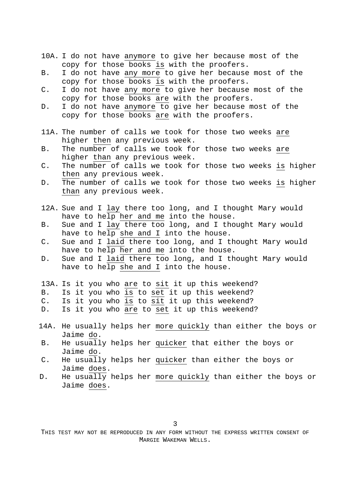- 10A. I do not have anymore to give her because most of the copy for those books is with the proofers.
- B. I do not have any more to give her because most of the copy for those books is with the proofers.
- C. I do not have any more to give her because most of the copy for those books are with the proofers.
- D. I do not have anymore to give her because most of the copy for those books are with the proofers.
- 11A. The number of calls we took for those two weeks are higher then any previous week.
- B. The number of calls we took for those two weeks are higher than any previous week.
- C. The number of calls we took for those two weeks is higher then any previous week.
- D. The number of calls we took for those two weeks is higher than any previous week.
- 12A. Sue and I lay there too long, and I thought Mary would have to help her and me into the house.
- B. Sue and I lay there too long, and I thought Mary would have to help she and I into the house.
- C. Sue and I laid there too long, and I thought Mary would have to help her and me into the house.
- D. Sue and I laid there too long, and I thought Mary would have to help she and I into the house.
- 13A. Is it you who are to sit it up this weekend?
- B. Is it you who is to set it up this weekend?
- C. Is it you who is to sit it up this weekend?
- D. Is it you who are to set it up this weekend?
- 14A. He usually helps her more quickly than either the boys or Jaime do.
- B. He usually helps her quicker that either the boys or Jaime do.
- C. He usually helps her quicker than either the boys or Jaime does.
- D. He usually helps her more quickly than either the boys or Jaime does.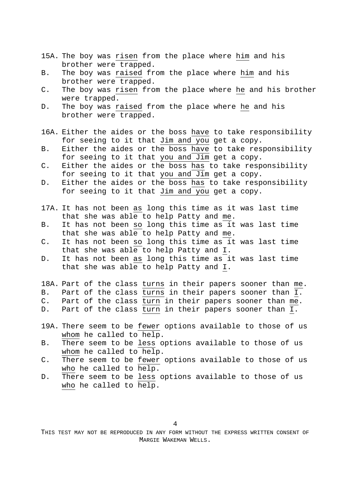- 15A. The boy was risen from the place where him and his brother were trapped.
- B. The boy was raised from the place where him and his brother were trapped.
- C. The boy was risen from the place where he and his brother were trapped.
- D. The boy was raised from the place where he and his brother were trapped.
- 16A. Either the aides or the boss have to take responsibility for seeing to it that Jim and you get a copy.
- B. Either the aides or the boss have to take responsibility for seeing to it that you and Jim get a copy.
- C. Either the aides or the boss has to take responsibility for seeing to it that you and Jim get a copy.
- D. Either the aides or the boss has to take responsibility for seeing to it that Jim and you get a copy.
- 17A. It has not been as long this time as it was last time that she was able to help Patty and me.
- B. It has not been so long this time as it was last time that she was able to help Patty and me.
- C. It has not been so long this time as it was last time that she was able to help Patty and I.
- D. It has not been as long this time as it was last time that she was able to help Patty and I.
- 18A. Part of the class turns in their papers sooner than me.
- B. Part of the class turns in their papers sooner than I.
- C. Part of the class turn in their papers sooner than me.
- D. Part of the class turn in their papers sooner than I.
- 19A. There seem to be fewer options available to those of us whom he called to help.
- B. There seem to be less options available to those of us whom he called to help.
- C. There seem to be fewer options available to those of us who he called to help.
- D. There seem to be less options available to those of us who he called to help.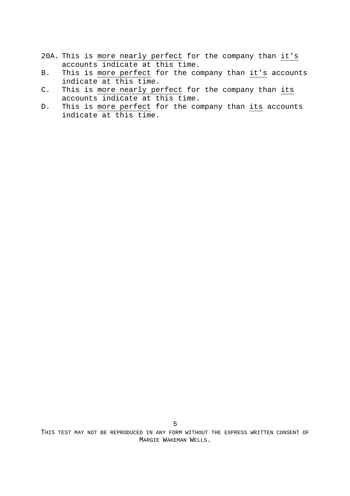- 20A. This is more nearly perfect for the company than it's accounts indicate at this time.
- B. This is more perfect for the company than it's accounts indicate at this time.
- C. This is more nearly perfect for the company than its accounts indicate at this time.
- D. This is more perfect for the company than its accounts indicate at this time.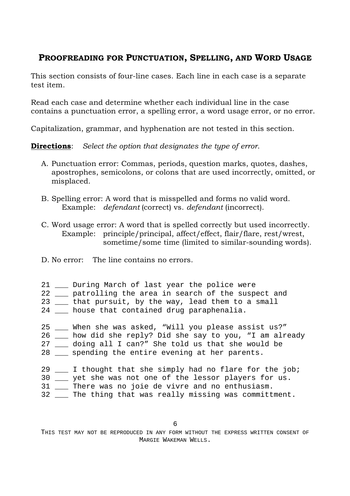## **PROOFREADING FOR PUNCTUATION, SPELLING, AND WORD USAGE**

This section consists of four-line cases. Each line in each case is a separate test item.

Read each case and determine whether each individual line in the case contains a punctuation error, a spelling error, a word usage error, or no error.

Capitalization, grammar, and hyphenation are not tested in this section.

**Directions**: *Select the option that designates the type of error*.

- A. Punctuation error: Commas, periods, question marks, quotes, dashes, apostrophes, semicolons, or colons that are used incorrectly, omitted, or misplaced.
- B. Spelling error: A word that is misspelled and forms no valid word. Example: *defendant* (correct) vs. *defendant* (incorrect).
- C. Word usage error: A word that is spelled correctly but used incorrectly. Example: principle/principal, affect/effect, flair/flare, rest/wrest, sometime/some time (limited to similar-sounding words).
- D. No error: The line contains no errors.
- 21 During March of last year the police were
- 22 \_\_\_ patrolling the area in search of the suspect and
- 23 \_\_\_ that pursuit, by the way, lead them to a small
- 24 \_\_\_ house that contained drug paraphenalia.
- 25 \_\_\_ When she was asked, "Will you please assist us?"
- 26 \_\_\_ how did she reply? Did she say to you, "I am already
- 27 \_\_\_ doing all I can?" She told us that she would be
- 28 \_\_\_ spending the entire evening at her parents.

| 29 |  |  |  |  | I thought that she simply had no flare for the job;     |  |  |
|----|--|--|--|--|---------------------------------------------------------|--|--|
|    |  |  |  |  | 30 __ yet she was not one of the lessor players for us. |  |  |

- 31 \_\_\_ There was no joie de vivre and no enthusiasm.
- 32 \_\_\_ The thing that was really missing was committment.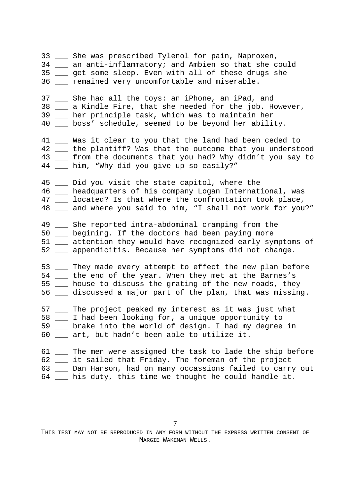33 \_\_\_ She was prescribed Tylenol for pain, Naproxen, 34 \_\_\_ an anti-inflammatory; and Ambien so that she could 35 \_\_\_ get some sleep. Even with all of these drugs she 36 **The remained very uncomfortable and miserable.** 37 \_\_\_ She had all the toys: an iPhone, an iPad, and 38 \_\_\_ a Kindle Fire, that she needed for the job. However, 39 \_\_\_ her principle task, which was to maintain her 40 \_\_\_ boss' schedule, seemed to be beyond her ability. 41 \_\_\_ Was it clear to you that the land had been ceded to 42 \_\_ the plantiff? Was that the outcome that you understood 43 \_\_ from the documents that you had? Why didn't you say to 44 \_\_\_ him, "Why did you give up so easily?" 45 \_\_\_ Did you visit the state capitol, where the 46 \_\_\_ headquarters of his company Logan International, was 47 \_\_\_ located? Is that where the confrontation took place, 48 \_\_ and where you said to him, "I shall not work for you?" 49 \_\_\_ She reported intra-abdominal cramping from the 50 \_\_\_ begining. If the doctors had been paying more 51 \_\_\_ attention they would have recognized early symptoms of 52 \_\_\_ appendicitis. Because her symptoms did not change. 53 \_\_\_ They made every attempt to effect the new plan before 54 \_\_\_ the end of the year. When they met at the Barnes's 55 \_\_\_ house to discuss the grating of the new roads, they 56 \_\_\_ discussed a major part of the plan, that was missing. 57 \_\_\_ The project peaked my interest as it was just what 58 \_\_\_ I had been looking for, a unique opportunity to 59 \_\_\_ brake into the world of design. I had my degree in 60 \_\_\_ art, but hadn't been able to utilize it. 61 The men were assigned the task to lade the ship before 62 \_\_\_ it sailed that Friday. The foreman of the project 63 \_\_\_ Dan Hanson, had on many occassions failed to carry out 64 \_\_\_ his duty, this time we thought he could handle it.

7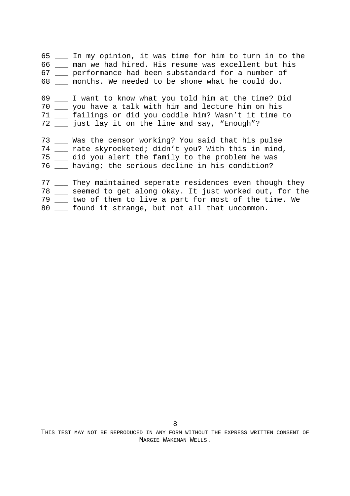65 \_\_\_ In my opinion, it was time for him to turn in to the 66 \_\_\_ man we had hired. His resume was excellent but his 67 \_\_\_ performance had been substandard for a number of 68 months. We needed to be shone what he could do. 69 \_\_\_ I want to know what you told him at the time? Did 70 \_\_\_ you have a talk with him and lecture him on his 71 \_\_\_ failings or did you coddle him? Wasn't it time to 72 \_\_\_ just lay it on the line and say, "Enough"? 73 \_\_\_ Was the censor working? You said that his pulse 74 \_\_\_ rate skyrocketed; didn't you? With this in mind, 75 \_\_\_ did you alert the family to the problem he was 76 \_\_\_ having; the serious decline in his condition? 77 \_\_\_ They maintained seperate residences even though they 78 \_\_\_ seemed to get along okay. It just worked out, for the

- 79 \_\_\_ two of them to live a part for most of the time. We
- 80 \_\_\_ found it strange, but not all that uncommon.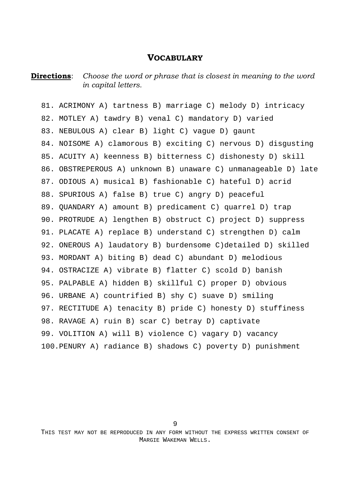#### **VOCABULARY**

#### **Directions**: Choose the word or phrase that is closest in meaning to the word *in capital letters.*

81. ACRIMONY A) tartness B) marriage C) melody D) intricacy 82. MOTLEY A) tawdry B) venal C) mandatory D) varied 83. NEBULOUS A) clear B) light C) vague D) gaunt 84. NOISOME A) clamorous B) exciting C) nervous D) disgusting 85. ACUITY A) keenness B) bitterness C) dishonesty D) skill 86. OBSTREPEROUS A) unknown B) unaware C) unmanageable D) late 87. ODIOUS A) musical B) fashionable C) hateful D) acrid 88. SPURIOUS A) false B) true C) angry D) peaceful 89. QUANDARY A) amount B) predicament C) quarrel D) trap 90. PROTRUDE A) lengthen B) obstruct C) project D) suppress 91. PLACATE A) replace B) understand C) strengthen D) calm 92. ONEROUS A) laudatory B) burdensome C)detailed D) skilled 93. MORDANT A) biting B) dead C) abundant D) melodious 94. OSTRACIZE A) vibrate B) flatter C) scold D) banish 95. PALPABLE A) hidden B) skillful C) proper D) obvious 96. URBANE A) countrified B) shy C) suave D) smiling 97. RECTITUDE A) tenacity B) pride C) honesty D) stuffiness 98. RAVAGE A) ruin B) scar C) betray D) captivate 99. VOLITION A) will B) violence C) vagary D) vacancy 100.PENURY A) radiance B) shadows C) poverty D) punishment

9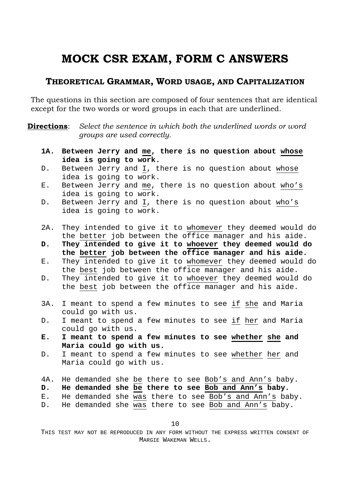# **MOCK CSR EXAM, FORM C ANSWERS**

### **THEORETICAL GRAMMAR, WORD USAGE, AND CAPITALIZATION**

The questions in this section are composed of four sentences that are identical except for the two words or word groups in each that are underlined.

**Directions**: Select the sentence in which both the underlined words or word *groups are used correctly.* 

- **1A. Between Jerry and me, there is no question about whose idea is going to work.**
- D. Between Jerry and I, there is no question about whose idea is going to work.
- E. Between Jerry and me, there is no question about who's idea is going to work.
- D. Between Jerry and I, there is no question about who's idea is going to work.
- 2A. They intended to give it to whomever they deemed would do the better job between the office manager and his aide.
- **D. They intended to give it to whoever they deemed would do the better job between the office manager and his aide.**
- E. They intended to give it to whomever they deemed would do the best job between the office manager and his aide.
- D. They intended to give it to whoever they deemed would do the best job between the office manager and his aide.
- 3A. I meant to spend a few minutes to see if she and Maria could go with us.
- D. I meant to spend a few minutes to see if her and Maria could go with us.
- **E. I meant to spend a few minutes to see whether she and Maria could go with us.**
- D. I meant to spend a few minutes to see whether her and Maria could go with us.
- 4A. He demanded she be there to see Bob's and Ann's baby.
- **D. He demanded she be there to see Bob and Ann's baby.**
- E. He demanded she was there to see Bob's and Ann's baby.
- D. He demanded she was there to see Bob and Ann's baby.

10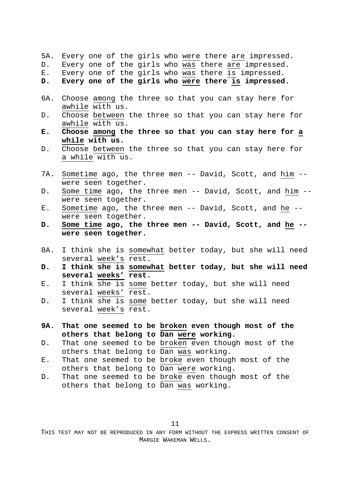|  |  |  |  |  |  |  |  |  |  | 5A. Every one of the girls who were there are impressed. |  |
|--|--|--|--|--|--|--|--|--|--|----------------------------------------------------------|--|
|--|--|--|--|--|--|--|--|--|--|----------------------------------------------------------|--|

- D. Every one of the girls who was there are impressed.
- E. Every one of the girls who was there is impressed.
- **D. Every one of the girls who were there is impressed.**
- 6A. Choose among the three so that you can stay here for awhile with us.
- D. Choose between the three so that you can stay here for awhile with us.
- **E. Choose among the three so that you can stay here for a while with us.**
- D. Choose between the three so that you can stay here for a while with us.
- 7A. Sometime ago, the three men -- David, Scott, and him -were seen together.
- D. Some time ago, the three men -- David, Scott, and him -were seen together.
- E. Sometime ago, the three men -- David, Scott, and he -were seen together.
- **D. Some time ago, the three men -- David, Scott, and he were seen together.**
- 8A. I think she is somewhat better today, but she will need several week's rest.
- **D. I think she is somewhat better today, but she will need several weeks' rest.**
- E. I think she is some better today, but she will need several weeks' rest.
- D. I think she is some better today, but she will need several week's rest.
- **9A. That one seemed to be broken even though most of the others that belong to Dan were working.**
- D. That one seemed to be broken even though most of the others that belong to Dan was working.
- E. That one seemed to be broke even though most of the others that belong to Dan were working.
- D. That one seemed to be broke even though most of the others that belong to Dan was working.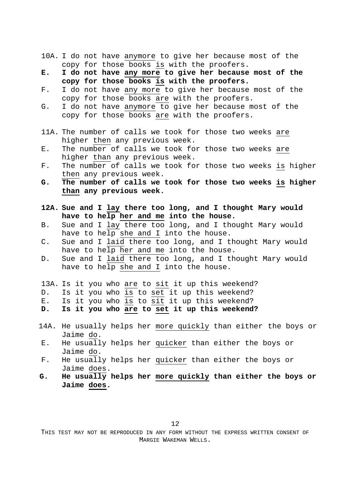- 10A. I do not have anymore to give her because most of the copy for those books is with the proofers.
- **E. I do not have any more to give her because most of the copy for those books is with the proofers.**
- F. I do not have any more to give her because most of the copy for those books are with the proofers.
- G. I do not have anymore to give her because most of the copy for those books are with the proofers.
- 11A. The number of calls we took for those two weeks are higher then any previous week.
- E. The number of calls we took for those two weeks are higher than any previous week.
- F. The number of calls we took for those two weeks is higher then any previous week.
- **G. The number of calls we took for those two weeks is higher than any previous week.**
- **12A. Sue and I lay there too long, and I thought Mary would have to help her and me into the house.**
- B. Sue and I lay there too long, and I thought Mary would have to help she and I into the house.
- C. Sue and I laid there too long, and I thought Mary would have to help her and me into the house.
- D. Sue and I laid there too long, and I thought Mary would have to help she and I into the house.
- 13A. Is it you who are to sit it up this weekend?
- D. Is it you who is to set it up this weekend?
- E. Is it you who is to sit it up this weekend?
- **D. Is it you who are to set it up this weekend?**
- 14A. He usually helps her more quickly than either the boys or Jaime do.
- E. He usually helps her quicker than either the boys or Jaime do.
- F. He usually helps her quicker than either the boys or Jaime does.
- **G. He usually helps her more quickly than either the boys or Jaime does.**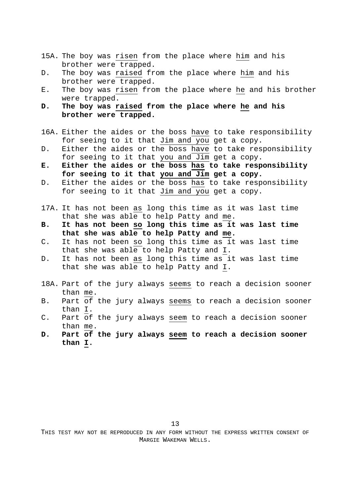- 15A. The boy was risen from the place where him and his brother were trapped.
- D. The boy was raised from the place where him and his brother were trapped.
- E. The boy was risen from the place where he and his brother were trapped.
- **D. The boy was raised from the place where he and his brother were trapped.**
- 16A. Either the aides or the boss have to take responsibility for seeing to it that Jim and you get a copy.
- D. Either the aides or the boss have to take responsibility for seeing to it that you and Jim get a copy.
- **E. Either the aides or the boss has to take responsibility for seeing to it that you and Jim get a copy.**
- D. Either the aides or the boss has to take responsibility for seeing to it that Jim and you get a copy.
- 17A. It has not been as long this time as it was last time that she was able to help Patty and me.
- **B. It has not been so long this time as it was last time that she was able to help Patty and me.**
- C. It has not been so long this time as it was last time that she was able to help Patty and I.
- D. It has not been as long this time as it was last time that she was able to help Patty and I.
- 18A. Part of the jury always seems to reach a decision sooner than me.
- B. Part of the jury always seems to reach a decision sooner than I.
- C. Part of the jury always seem to reach a decision sooner than me.
- **D. Part of the jury always seem to reach a decision sooner than I.**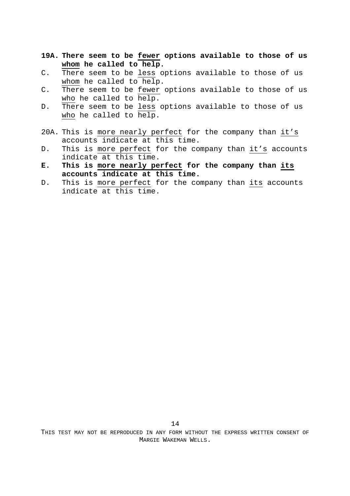- **19A. There seem to be fewer options available to those of us whom he called to help.**
- C. There seem to be less options available to those of us whom he called to help.
- C. There seem to be fewer options available to those of us who he called to help.
- D. There seem to be less options available to those of us who he called to help.
- 20A. This is more nearly perfect for the company than it's accounts indicate at this time.
- D. This is more perfect for the company than it's accounts indicate at this time.
- **E. This is more nearly perfect for the company than its accounts indicate at this time.**
- D. This is more perfect for the company than its accounts indicate at this time.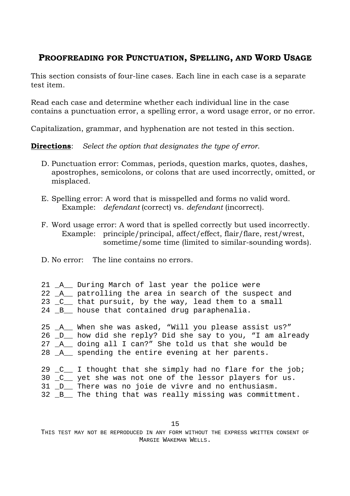## **PROOFREADING FOR PUNCTUATION, SPELLING, AND WORD USAGE**

This section consists of four-line cases. Each line in each case is a separate test item.

Read each case and determine whether each individual line in the case contains a punctuation error, a spelling error, a word usage error, or no error.

Capitalization, grammar, and hyphenation are not tested in this section.

**Directions**: *Select the option that designates the type of error*.

- D. Punctuation error: Commas, periods, question marks, quotes, dashes, apostrophes, semicolons, or colons that are used incorrectly, omitted, or misplaced.
- E. Spelling error: A word that is misspelled and forms no valid word. Example: *defendant* (correct) vs. *defendant* (incorrect).
- F. Word usage error: A word that is spelled correctly but used incorrectly. Example: principle/principal, affect/effect, flair/flare, rest/wrest, sometime/some time (limited to similar-sounding words).
- D. No error: The line contains no errors.

|  |  |  |  |  |  |  |  | 21 _A__ During March of last year the police were |  |  |
|--|--|--|--|--|--|--|--|---------------------------------------------------|--|--|
|--|--|--|--|--|--|--|--|---------------------------------------------------|--|--|

- 22 \_A\_\_ patrolling the area in search of the suspect and
- 23 \_C\_\_ that pursuit, by the way, lead them to a small
- 24 \_B\_\_ house that contained drug paraphenalia.
- 25 \_A\_\_ When she was asked, "Will you please assist us?" 26 \_D\_\_ how did she reply? Did she say to you, "I am already 27 \_A\_\_ doing all I can?" She told us that she would be
- 28 \_A\_\_ spending the entire evening at her parents.

|  | 29 C I thought that she simply had no flare for the job; |
|--|----------------------------------------------------------|
|  | 30 C _ yet she was not one of the lessor players for us. |
|  | 31 D There was no joie de vivre and no enthusiasm.       |
|  | 32 B The thing that was really missing was committment.  |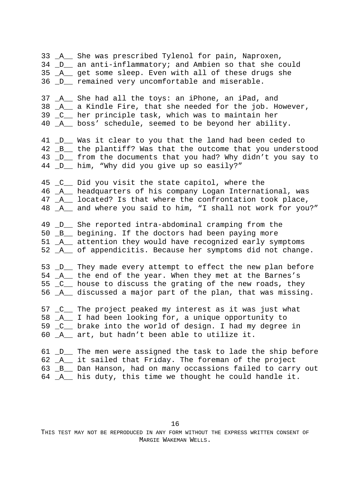33 \_A\_\_ She was prescribed Tylenol for pain, Naproxen, 34 \_D\_\_ an anti-inflammatory; and Ambien so that she could 35 \_A\_\_ get some sleep. Even with all of these drugs she 36 D remained very uncomfortable and miserable. 37 \_A\_\_ She had all the toys: an iPhone, an iPad, and 38 \_A\_\_ a Kindle Fire, that she needed for the job. However, 39 \_C\_\_ her principle task, which was to maintain her 40 \_A\_\_ boss' schedule, seemed to be beyond her ability. 41 D Was it clear to you that the land had been ceded to 42  $\text{B}_{\text{m}}$  the plantiff? Was that the outcome that you understood 43 \_D\_\_ from the documents that you had? Why didn't you say to 44 \_D\_\_ him, "Why did you give up so easily?" 45 \_C\_\_ Did you visit the state capitol, where the 46 \_A\_\_ headquarters of his company Logan International, was 47 A located? Is that where the confrontation took place, 48 \_A\_\_ and where you said to him, "I shall not work for you?" 49 \_D\_\_ She reported intra-abdominal cramping from the 50 \_B\_\_ begining. If the doctors had been paying more 51 A attention they would have recognized early symptoms 52 \_A\_\_ of appendicitis. Because her symptoms did not change. 53 \_D\_\_ They made every attempt to effect the new plan before 54 \_A\_\_ the end of the year. When they met at the Barnes's 55 \_C\_\_ house to discuss the grating of the new roads, they 56 A discussed a major part of the plan, that was missing. 57 \_C\_\_ The project peaked my interest as it was just what 58 \_A\_\_ I had been looking for, a unique opportunity to 59 \_C\_\_ brake into the world of design. I had my degree in 60 \_A\_\_ art, but hadn't been able to utilize it. 61 D The men were assigned the task to lade the ship before 62 \_A\_\_ it sailed that Friday. The foreman of the project 63 B Dan Hanson, had on many occassions failed to carry out 64 A his duty, this time we thought he could handle it.

16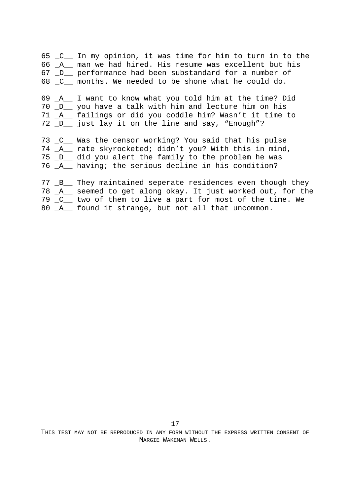65 \_C\_\_ In my opinion, it was time for him to turn in to the 66 \_A\_\_ man we had hired. His resume was excellent but his 67 \_D\_\_ performance had been substandard for a number of 68 C months. We needed to be shone what he could do.

69 \_A\_\_ I want to know what you told him at the time? Did 70 \_D\_\_ you have a talk with him and lecture him on his 71 \_A\_\_ failings or did you coddle him? Wasn't it time to 72 \_D\_\_ just lay it on the line and say, "Enough"?

73 \_C\_\_ Was the censor working? You said that his pulse 74 \_A\_\_ rate skyrocketed; didn't you? With this in mind, 75 \_D\_\_ did you alert the family to the problem he was 76 \_A\_\_ having; the serious decline in his condition?

77 B They maintained seperate residences even though they 78 \_A\_\_ seemed to get along okay. It just worked out, for the 79 \_C\_\_ two of them to live a part for most of the time. We 80 \_A\_\_ found it strange, but not all that uncommon.